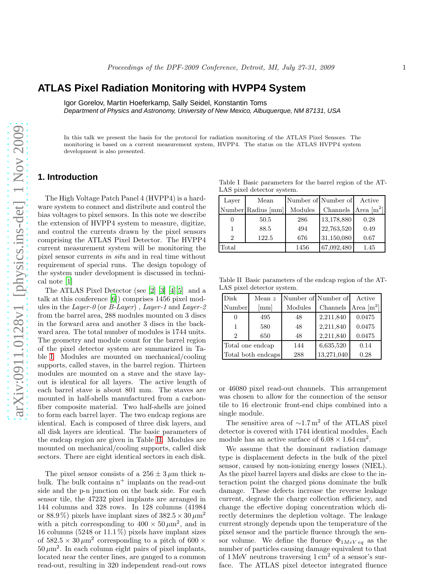# **ATLAS Pixel Radiation Monitoring with HVPP4 System**

Igor Gorelov, Martin Hoeferkamp, Sally Seidel, Konstantin Toms

Department of Physics and Astronomy, University of New Mexico, Albuquerque, NM 87131, USA

In this talk we present the basis for the protocol for radiation monitoring of the ATLAS Pixel Sensors. The monitoring is based on a current measurement system, HVPP4. The status on the ATLAS HVPP4 system development is also presented.

#### **1. Introduction**

The High Voltage Patch Panel 4 (HVPP4) is a hardware system to connect and distribute and control the bias voltages to pixel sensors. In this note we describe the extension of HVPP4 system to measure, digitize, and control the currents drawn by the pixel sensors comprising the ATLAS Pixel Detector. The HVPP4 current measurement system will be monitoring the pixel sensor currents in situ and in real time without requirement of special runs. The design topology of the system under development is discussed in technical note [\[1\]](#page-6-0)

The ATLAS Pixel Detector (see [\[2\]](#page-6-1) [\[3](#page-6-2)] [\[4\]](#page-7-0)[\[5\]](#page-7-1) and a talk at this conference [\[6](#page-7-2)]) comprises 1456 pixel modules in the Layer-0 (or B-Layer), Layer-1 and Layer-2 from the barrel area, 288 modules mounted on 3 discs in the forward area and another 3 discs in the backward area. The total number of modules is 1744 units. The geometry and module count for the barrel region of the pixel detector system are summarized in Table [I.](#page-0-0) Modules are mounted on mechanical/cooling supports, called staves, in the barrel region. Thirteen modules are mounted on a stave and the stave layout is identical for all layers. The active length of each barrel stave is about 801 mm. The staves are mounted in half-shells manufactured from a carbonfiber composite material. Two half-shells are joined to form each barrel layer. The two endcap regions are identical. Each is composed of three disk layers, and all disk layers are identical. The basic parameters of the endcap region are given in Table [II.](#page-0-1) Modules are mounted on mechanical/cooling supports, called disk sectors. There are eight identical sectors in each disk.

The pixel sensor consists of a  $256 \pm 3 \,\mu \text{m}$  thick nbulk. The bulk contains  $n^+$  implants on the read-out side and the p-n junction on the back side. For each sensor tile, the 47232 pixel implants are arranged in 144 columns and 328 rows. In 128 columns (41984 or 88.9%) pixels have implant sizes of  $382.5 \times 30 \,\mu\text{m}^2$ with a pitch corresponding to  $400 \times 50 \,\mu\text{m}^2$ , and in 16 columns (5248 or  $11.1\%$ ) pixels have implant sizes of  $582.5 \times 30 \,\mu \text{m}^2$  corresponding to a pitch of 600  $\times$  $50 \,\mu\text{m}^2$ . In each column eight pairs of pixel implants, located near the center lines, are ganged to a common read-out, resulting in 320 independent read-out rows

<span id="page-0-0"></span>Table I Basic parameters for the barrel region of the AT-LAS pixel detector system.

| Laver          | Mean               |         | Number of Number of | Active                   |
|----------------|--------------------|---------|---------------------|--------------------------|
|                | Number Radius [mm] | Modules | Channels            | Area $\lceil m^2 \rceil$ |
| $\theta$       | 50.5               | 286     | 13,178,880          | 0.28                     |
|                | 88.5               | 494     | 22,763,520          | 0.49                     |
| $\overline{2}$ | 122.5              | 676     | 31,150,080          | 0.67                     |
| Total          |                    | 1456    | 67,092,480          | 1.45                     |

Table II Basic parameters of the endcap region of the AT-LAS pixel detector system.

<span id="page-0-1"></span>

| Disk                        | Mean $z$                  |         | Number of Number of | Active                   |
|-----------------------------|---------------------------|---------|---------------------|--------------------------|
| Number                      | $\lceil \text{mm} \rceil$ | Modules | Channels            | Area $\lceil m^2 \rceil$ |
|                             | 495                       | 48      | 2,211,840           | 0.0475                   |
|                             | 580                       | 48      | 2,211,840           | 0.0475                   |
| $\mathcal{D}_{\mathcal{L}}$ | 650                       | 48      | 2,211,840           | 0.0475                   |
|                             | Total one endcap          | 144     | 6,635,520           | 0.14                     |
|                             | Total both endcaps        | 288     | 13,271,040          | 0.28                     |

or 46080 pixel read-out channels. This arrangement was chosen to allow for the connection of the sensor tile to 16 electronic front-end chips combined into a single module.

The sensitive area of  $\sim 1.7 \,\mathrm{m}^2$  of the ATLAS pixel detector is covered with 1744 identical modules. Each module has an active surface of  $6.08 \times 1.64 \text{ cm}^2$ .

We assume that the dominant radiation damage type is displacement defects in the bulk of the pixel sensor, caused by non-ionizing energy losses (NIEL). As the pixel barrel layers and disks are close to the interaction point the charged pions dominate the bulk damage. These defects increase the reverse leakage current, degrade the charge collection efficiency, and change the effective doping concentration which directly determines the depletion voltage. The leakage current strongly depends upon the temperature of the pixel sensor and the particle fluence through the sensor volume. We define the fluence  $\Phi_{1MeV \, eq}$  as the number of particles causing damage equivalent to that of 1 MeV neutrons traversing  $1 \text{ cm}^2$  of a sensor's surface. The ATLAS pixel detector integrated fluence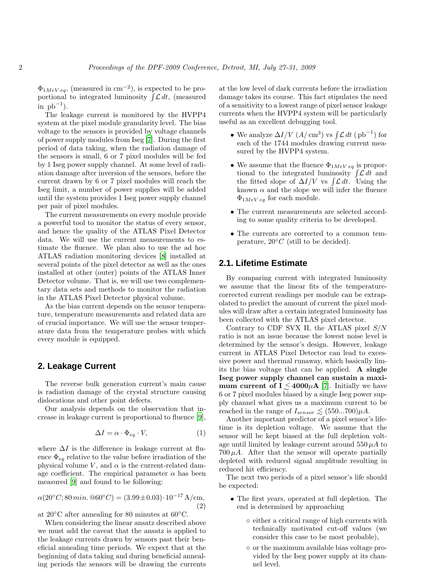$\Phi_{1MeV\ eq}$ , (measured in cm<sup>-2</sup>), is expected to be proportional to integrated luminosity  $\int \mathcal{L} dt$ , (measured  $\sin pb^{-1}$ ).

The leakage current is monitored by the HVPP4 system at the pixel module granularity level. The bias voltage to the sensors is provided by voltage channels of power supply modules from Iseg [\[7\]](#page-7-3). During the first period of data taking, when the radiation damage of the sensors is small, 6 or 7 pixel modules will be fed by 1 Iseg power supply channel. At some level of radiation damage after inversion of the sensors, before the current drawn by 6 or 7 pixel modules will reach the Iseg limit, a number of power supplies will be added until the system provides 1 Iseg power supply channel per pair of pixel modules.

The current measurements on every module provide a powerful tool to monitor the status of every sensor, and hence the quality of the ATLAS Pixel Detector data. We will use the current measurements to estimate the fluence. We plan also to use the ad hoc ATLAS radiation monitoring devices [\[8\]](#page-7-4) installed at several points of the pixel detector as well as the ones installed at other (outer) points of the ATLAS Inner Detector volume. That is, we will use two complementary data sets and methods to monitor the radiation in the ATLAS Pixel Detector physical volume.

As the bias current depends on the sensor temperature, temperature measurements and related data are of crucial importance. We will use the sensor temperature data from the temperature probes with which every module is equipped.

#### **2. Leakage Current**

The reverse bulk generation current's main cause is radiation damage of the crystal structure causing dislocations and other point defects.

Our analysis depends on the observation that increase in leakage current is proportional to fluence [\[9\]](#page-7-5),

<span id="page-1-0"></span>
$$
\Delta I = \alpha \cdot \Phi_{eq} \cdot V, \tag{1}
$$

where  $\Delta I$  is the difference in leakage current at fluence  $\Phi_{eq}$  relative to the value before irradiation of the physical volume  $V$ , and  $\alpha$  is the current-related damage coefficient. The empirical parameter  $\alpha$  has been measured [\[9](#page-7-5)] and found to be following:

<span id="page-1-1"></span>
$$
\alpha(20^{\circ}C; 80 \min. \mathbf{Q}60^{\circ}C) = (3.99 \pm 0.03) \cdot 10^{-17} \,\mathrm{A/cm},\tag{2}
$$

at  $20\degree$ C after annealing for 80 minutes at  $60\degree$ C.

When considering the linear ansatz described above we must add the caveat that the ansatz is applied to the leakage currents drawn by sensors past their beneficial annealing time periods. We expect that at the beginning of data taking and during beneficial annealing periods the sensors will be drawing the currents at the low level of dark currents before the irradiation damage takes its course. This fact stipulates the need of a sensitivity to a lowest range of pixel sensor leakage currents when the HVPP4 system will be particularly useful as an excellent debugging tool.

- We analyze  $\Delta I/V$   $(A/\text{ cm}^3)$  vs  $\int \mathcal{L} dt$   $(\text{ pb}^{-1})$  for each of the 1744 modules drawing current measured by the HVPP4 system.
- We assume that the fluence  $\Phi_{1MeV\ eq}$  is proportional to the integrated luminosity  $\int \mathcal{L} dt$  and the fitted slope of  $\Delta I/V$  vs  $\int \mathcal{L} dt$ . Using the known  $\alpha$  and the slope we will infer the fluence  $\Phi_{1MeV\ eq}$  for each module.
- The current measurements are selected according to some quality criteria to be developed.
- The currents are corrected to a common temperature,  $20 °C$  (still to be decided).

### **2.1. Lifetime Estimate**

By comparing current with integrated luminosity we assume that the linear fits of the temperaturecorrected current readings per module can be extrapolated to predict the amount of current the pixel modules will draw after a certain integrated luminosity has been collected with the ATLAS pixel detector.

Contrary to CDF SVX II, the ATLAS pixel  $S/N$ ratio is not an issue because the lowest noise level is determined by the sensor's design. However, leakage current in ATLAS Pixel Detector can lead to excessive power and thermal runaway, which basically limits the bias voltage that can be applied. A single Iseg power supply channel can sustain a maximum current of  $I \leq 4000\mu\text{A}$  [\[7](#page-7-3)]. Initially we have 6 or 7 pixel modules biased by a single Iseg power supply channel what gives us a maximum current to be reached in the range of  $I_{sensor} \lesssim (550...700)\mu A$ .

Another important predictor of a pixel sensor's lifetime is its depletion voltage. We assume that the sensor will be kept biased at the full depletion voltage until limited by leakage current around  $550 \mu A$  to  $700 \mu A$ . After that the sensor will operate partially depleted with reduced signal amplitude resulting in reduced hit efficiency.

The next two periods of a pixel sensor's life should be expected:

- The first years, operated at full depletion. The end is determined by approaching
	- either a critical range of high currents with technically motivated cut-off values (we consider this case to be most probable),
	- or the maximum available bias voltage provided by the Iseg power supply at its channel level.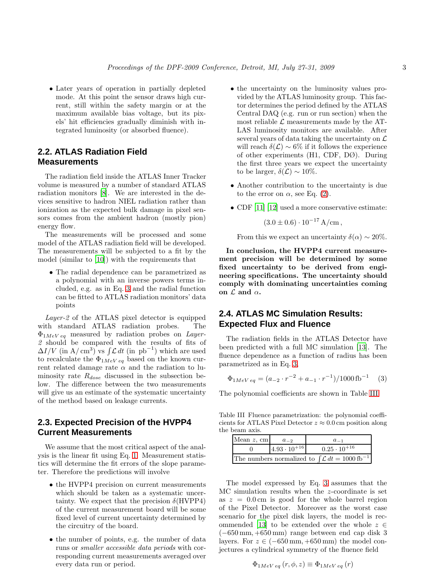• Later years of operation in partially depleted mode. At this point the sensor draws high current, still within the safety margin or at the maximum available bias voltage, but its pixels' hit efficiencies gradually diminish with integrated luminosity (or absorbed fluence).

## **2.2. ATLAS Radiation Field Measurements**

The radiation field inside the ATLAS Inner Tracker volume is measured by a number of standard ATLAS radiation monitors [\[8\]](#page-7-4). We are interested in the devices sensitive to hadron NIEL radiation rather than ionization as the expected bulk damage in pixel sensors comes from the ambient hadron (mostly pion) energy flow.

The measurements will be processed and some model of the ATLAS radiation field will be developed. The measurements will be subjected to a fit by the model (similar to [\[10](#page-7-6)]) with the requirements that

• The radial dependence can be parametrized as a polynomial with an inverse powers terms included, e.g. as in Eq. [3](#page-2-0) and the radial function can be fitted to ATLAS radiation monitors' data points

Layer-2 of the ATLAS pixel detector is equipped with standard ATLAS radiation probes. The  $\Phi_{1MeV\ eq}$  measured by radiation probes on Layer-2 should be compared with the results of fits of  $\Delta I/V$  (in A/cm<sup>3</sup>) vs  $\int \mathcal{L} dt$  (in pb<sup>-1</sup>) which are used to recalculate the  $\Phi_{1MeV eq}$  based on the known current related damage rate  $\alpha$  and the radiation to luminosity rate  $R_{dose}$  discussed in the subsection below. The difference between the two measurements will give us an estimate of the systematic uncertainty of the method based on leakage currents.

# **2.3. Expected Precision of the HVPP4 Current Measurements**

We assume that the most critical aspect of the analysis is the linear fit using Eq. [1.](#page-1-0) Measurement statistics will determine the fit errors of the slope parameter. Therefore the predictions will involve

- the HVPP4 precision on current measurements which should be taken as a systematic uncertainty. We expect that the precision  $\delta(HVPP4)$ of the current measurement board will be some fixed level of current uncertainty determined by the circuitry of the board.
- the number of points, e.g. the number of data runs or smaller accessible data periods with corresponding current measurements averaged over every data run or period.
- the uncertainty on the luminosity values provided by the ATLAS luminosity group. This factor determines the period defined by the ATLAS Central DAQ (e.g. run or run section) when the most reliable  $\mathcal L$  measurements made by the AT-LAS luminosity monitors are available. After several years of data taking the uncertainty on  $\mathcal L$ will reach  $\delta(\mathcal{L}) \sim 6\%$  if it follows the experience of other experiments (H1, CDF, DØ). During the first three years we expect the uncertainty to be larger,  $\delta(\mathcal{L}) \sim 10\%$ .
- Another contribution to the uncertainty is due to the error on  $\alpha$ , see Eq. [\(2\)](#page-1-1).
- CDF [\[11](#page-7-7)] [\[12](#page-7-8)] used a more conservative estimate:

$$
(3.0 \pm 0.6) \cdot 10^{-17} \text{ A/cm}
$$
,

From this we expect an uncertainty  $\delta(\alpha) \sim 20\%.$ 

In conclusion, the HVPP4 current measurement precision will be determined by some fixed uncertainty to be derived from engineering specifications. The uncertainty should comply with dominating uncertainties coming on  $\mathcal L$  and  $\alpha$ .

## <span id="page-2-2"></span>**2.4. ATLAS MC Simulation Results: Expected Flux and Fluence**

The radiation fields in the ATLAS Detector have been predicted with a full MC simulation [\[13](#page-7-9)]. The fluence dependence as a function of radius has been parametrized as in Eq. [3,](#page-2-0)

<span id="page-2-0"></span>
$$
\Phi_{1MeV\ eq} = (a_{-2} \cdot r^{-2} + a_{-1} \cdot r^{-1})/1000 \,\text{fb}^{-1} \tag{3}
$$

The polynomial coefficients are shown in Table [III.](#page-2-1)

Table III Fluence parametrization: the polynomial coefficients for ATLAS Pixel Detector  $z \approx 0.0$  cm position along the beam axis.

<span id="page-2-1"></span>

| Mean $z$ , cm | $a_{-2}$              | $a_{-1}$                                                               |
|---------------|-----------------------|------------------------------------------------------------------------|
|               | $4.93 \cdot 10^{+16}$ | $0.25 \cdot 10^{+16}$                                                  |
|               |                       | The numbers normalized to $\int \mathcal{L} dt = 1000 \text{ fb}^{-1}$ |

The model expressed by Eq. [3](#page-2-0) assumes that the MC simulation results when the z-coordinate is set as  $z = 0.0 \text{ cm}$  is good for the whole barrel region of the Pixel Detector. Moreover as the worst case scenario for the pixel disk layers, the model is rec-ommended [\[13\]](#page-7-9) to be extended over the whole  $z \in$ (−650 mm, +650 mm) range between end cap disk 3 layers. For  $z \in (-650 \,\mathrm{mm}, +650 \,\mathrm{mm})$  the model conjectures a cylindrical symmetry of the fluence field

$$
\Phi_{1MeV\,eq}\left(r,\phi,z\right)\equiv\Phi_{1MeV\,eq}\left(r\right)
$$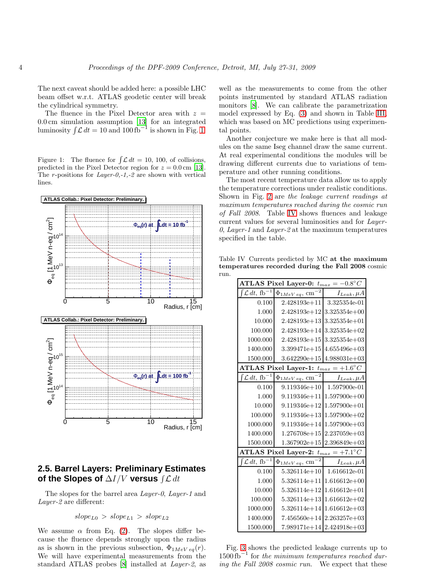The next caveat should be added here: a possible LHC beam offset w.r.t. ATLAS geodetic center will break the cylindrical symmetry.

The fluence in the Pixel Detector area with  $z =$ 0.0 cm simulation assumption [\[13\]](#page-7-9) for an integrated luminosity  $\int \mathcal{L} dt = 10$  and  $100 \text{ fb}^{-1}$  is shown in Fig. [1.](#page-3-0)

<span id="page-3-0"></span>Figure 1: The fluence for  $\int \mathcal{L} dt = 10, 100$ , of collisions, predicted in the Pixel Detector region for  $z = 0.0$  cm [\[13\]](#page-7-9). The *r*-positions for  $Layer-0,-1,-2$  are shown with vertical lines.



# **2.5. Barrel Layers: Preliminary Estimates of the Slopes of**  $\Delta I/V$  versus ∫ ${\cal L}$   $dt$

The slopes for the barrel area *Layer-0*, *Layer-1* and Layer-2 are different:

 $slope_{L0} > slope_{L1} > slope_{L2}$ 

We assume  $\alpha$  from Eq. [\(2\)](#page-1-1). The slopes differ because the fluence depends strongly upon the radius as is shown in the previous subsection,  $\Phi_{1MeV \, eq}(r)$ . We will have experimental measurements from the standard ATLAS probes [\[8](#page-7-4)] installed at Layer-2, as

well as the measurements to come from the other points instrumented by standard ATLAS radiation monitors [\[8\]](#page-7-4). We can calibrate the parametrization model expressed by Eq. [\(3\)](#page-2-0) and shown in Table [III,](#page-2-1) which was based on MC predictions using experimental points.

Another conjecture we make here is that all modules on the same Iseg channel draw the same current. At real experimental conditions the modules will be drawing different currents due to variations of temperature and other running conditions.

The most recent temperature data allow us to apply the temperature corrections under realistic conditions. Shown in Fig. [2](#page-4-0) are the leakage current readings at maximum temperatures reached during the cosmic run of Fall 2008. Table [IV](#page-3-1) shows fluences and leakage current values for several luminosities and for Layer-0, Layer-1 and Layer-2 at the maximum temperatures specified in the table.

Table IV Currents predicted by MC at the maximum temperatures recorded during the Fall 2008 cosmic run.

<span id="page-3-1"></span>

|                                          | ATLAS Pixel Layer-0: $t_{max} = -0.8^{\circ}C$ |                   |
|------------------------------------------|------------------------------------------------|-------------------|
| $\mathcal{L} dt$ , fb <sup>-1</sup>      | $\Phi_{1MeV\ eq},\ cm$                         | $I_{Leak}, \mu A$ |
| 0.100                                    | $2.428193e+11$                                 | 3.325354e-01      |
| 1.000                                    | $2.428193e+12$ 3.325354e+00                    |                   |
| 10.000                                   | $2.428193e+13$ 3.325354e+01                    |                   |
| 100.000                                  | $2.428193e+14$ 3.325354e+02                    |                   |
| 1000.000                                 | $2.428193e+15$ 3.325354e+03                    |                   |
| 1400.000                                 | $3.399471e+15$ 4.655496e+03                    |                   |
| 1500.000                                 | $3.642290e+15$ 4.988031e+03                    |                   |
|                                          | ATLAS Pixel Layer-1: $t_{max} = +1.6^{\circ}C$ |                   |
| $\int \mathcal{L} dt$ , fb <sup>-1</sup> | $\Phi_{1MeV\ eq},\ cm^{-2}$                    | $I_{Leak}, \mu A$ |
| 0.100                                    | $9.119346e + 10$                               | 1.597900e-01      |
| 1.000                                    | $9.119346e+11$ 1.597900e+00                    |                   |
| 10.000                                   | $9.119346e+12$   $1.597900e+01$                |                   |
| 100.000                                  | $9.119346e+13$ 1.597900e+02                    |                   |
| 1000.000                                 | $9.119346e+14$ 1.597900e + 03                  |                   |
| 1400.000                                 | $1.276708e+15$ 2.237059e+03                    |                   |
| 1500.000                                 | $1.367902e+15$ 2.396849e+03                    |                   |
|                                          | ATLAS Pixel Layer-2: $t_{max} = +7.1^{\circ}C$ |                   |
| $\mathcal{L} dt$ , fb <sup>-1</sup>      | $-2$<br>$\Phi_{1MeV\ eq},\ cm$                 | $I_{Leak}, \mu A$ |
| 0.100                                    | $5.326114e+10$                                 | 1.616612e-01      |
| 1.000                                    | $5.326114e+11$ 1.616612e+00                    |                   |
| 10.000                                   | $5.326114e+12$ 1.616612e+01                    |                   |
| 100.000                                  | $5.326114e+13$ 1.616612e+02                    |                   |
| 1000.000                                 | $5.326114e+14$ 1.616612e+03                    |                   |
| 1400.000                                 | $7.456560e+14$ 2.263257e + 03                  |                   |
| 1500.000                                 | 7.989171e+14 2.424918e+03                      |                   |

Fig. [3](#page-4-1) shows the predicted leakage currents up to  $1500 \text{ fb}^{-1}$  for the minimum temperatures reached during the Fall 2008 cosmic run. We expect that these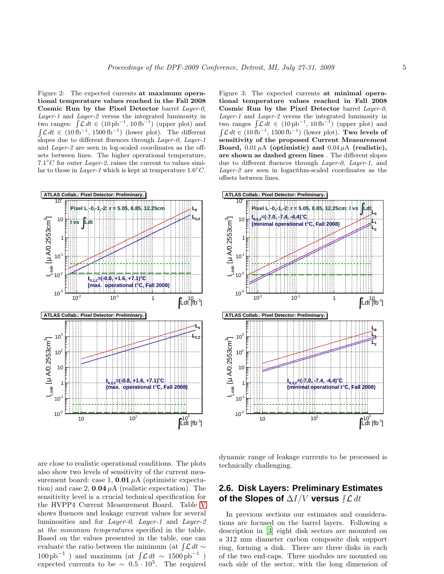<span id="page-4-0"></span>Figure 2: The expected currents at maximum operational temperature values reached in the Fall 2008 Cosmic Run by the Pixel Detector barrel Layer-0, Layer-1 and Layer-2 versus the integrated luminosity in two ranges:  $\int \mathcal{L} dt \in (10 \text{ pb}^{-1}, 10 \text{ fb}^{-1})$  (upper plot) and  $\int \mathcal{L} dt \in (10 \text{ fb}^{-1}, 1500 \text{ fb}^{-1})$  (lower plot). The different slopes due to different fluences through *Layer-0*, *Layer-1* and Layer-2 are seen in log-scaled coordinates as the offsets between lines. The higher operational temperature,  $7.1^{\circ}$ C for outer Layer-2, raises the current to values similar to those in Layer-1 which is kept at temperature  $1.6^{\circ}C$ .



are close to realistic operational conditions. The plots also show two levels of sensitivity of the current measurement board: case 1,  $0.01 \mu A$  (optimistic expectation) and case 2,  $0.04 \mu A$  (realistic expectation). The sensitivity level is a crucial technical specification for the HVPP4 Current Measurement Board. Table [V](#page-5-0) shows fluences and leakage current values for several luminosities and for Layer-0, Layer-1 and Layer-2 at the minimum temperatures specified in the table. Based on the values presented in the table, one can evaluate the ratio between the minimum (at  $\int \mathcal{L} dt \sim$  $100 \text{ pb}^{-1}$ ) and maximum (at  $\int \mathcal{L} dt \sim 1500 \text{ pb}^{-1}$ ) expected currents to be  $\sim 0.5 \cdot 10^5$ . The required

<span id="page-4-1"></span>Figure 3: The expected currents at minimal operational temperature values reached in Fall 2008 Cosmic Run by the Pixel Detector barrel Layer-0, Layer-1 and Layer-2 versus the integrated luminosity in two ranges  $\int \mathcal{L} dt \in (10 \text{ pb}^{-1}, 10 \text{ fb}^{-1})$  (upper plot) and  $\int \mathcal{L} dt \in (10 \text{ fb}^{-1}, 1500 \text{ fb}^{-1})$  (lower plot). Two levels of sensitivity of the proposed Current Measurement Board,  $0.01 \mu A$  (optimistic) and  $0.04 \mu A$  (realistic), are shown as dashed green lines . The different slopes due to different fluences through *Layer-0*, *Layer-1*, and Layer-2 are seen in logarithm-scaled coordinates as the offsets between lines.



dynamic range of leakage currents to be processed is technically challenging.

# **2.6. Disk Layers: Preliminary Estimates of the Slopes of**  $\Delta I/V$  versus ∫ ${\cal L}$   $dt$

In previous sections our estimates and considerations are focused on the barrel layers. Following a description in [\[3\]](#page-6-2) eight disk sectors are mounted on a 312 mm diameter carbon composite disk support ring, forming a disk. There are three disks in each of the two end-caps. Three modules are mounted on each side of the sector, with the long dimension of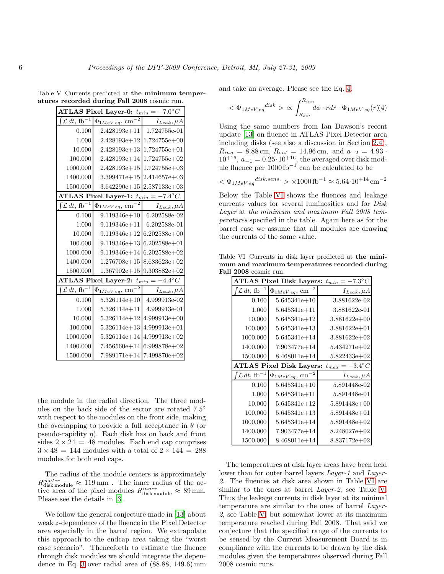| Table V Currents predicted at the minimum temper- |
|---------------------------------------------------|
| atures recorded during Fall 2008 cosmic run.      |

<span id="page-5-0"></span>

|                                     | ATLAS Pixel Layer-0: $t_{min} = -7.0^{\circ}C$ |                           |
|-------------------------------------|------------------------------------------------|---------------------------|
| $\mathcal{L} dt$ , fb <sup>-1</sup> | $\Phi_{1MeV\ eq},\ \mathrm{cm}^{-}$            | $I_{Leak}, \mu A$         |
| 0.100                               | $2.428193e+11$                                 | 1.724755e-01              |
| 1.000                               | 2.428193e+12                                   | $1.724755e+00$            |
| 10.000                              | $2.428193e+13$                                 | $1.724755e+01$            |
| 100.000                             | $2.428193e+14$                                 | $1.724755e+02$            |
| 1000.000                            | $2.428193e+15$                                 | $1.724755e+03$            |
| 1400.000                            | $3.399471e+15$                                 | $2.414657e+03$            |
| 1500.000                            | $3.642290e + 15$                               | $2.587133e+03$            |
|                                     | ATLAS Pixel Layer-1: $t_{min} = -7.4^{\circ}C$ |                           |
| $\mathcal{L} dt$ , fb <sup>-1</sup> | $\Phi_{1MeV\ eq}, \ cm^{-2}$                   | $I_{Leak}, \mu A$         |
| 0.100                               | $9.119346e + 10$                               | 6.202588e-02              |
| 1.000                               | $9.119346e + 11$                               | 6.202588e-01              |
| 10.000                              | $9.119346e + 12$                               | $6.202588e+00$            |
| 100.000                             | $9.119346e + 13$                               | $6.202588e + 01$          |
| 1000.000                            | $9.119346e + 14$                               | $6.202588e+02$            |
| 1400.000                            | $1.276708e + 15$                               | $8.683623e+02$            |
| 1500.000                            | $1.367902e + 15$                               | $9.303882e + 02$          |
|                                     | ATLAS Pixel Layer-2: $t_{min}$                 | $=-4.4^{\circ}C$          |
| $\mathcal{L} dt$ , fb <sup>-1</sup> | $\Phi_{1MeV}$ eq, $\rm cm^{-2}$                | $I_{Leak}, \mu A$         |
| 0.100                               | $5.326114e+10$                                 | 4.999913e-02              |
| 1.000                               | $5.326114e + 11$                               | 4.999913e-01              |
| 10.000                              | $5.326114e + 12$                               | $4.999913e+00$            |
| 100.000                             | $5.326114e+13$                                 | $4.999913e+01$            |
| 1000.000                            | $5.326114e + 14$                               | $4.999913e+02$            |
| 1400.000                            | $7.456560e + 14$                               | $6.999878e+02$            |
| 1500.000                            |                                                | 7.989171e+14 7.499870e+02 |

the module in the radial direction. The three modules on the back side of the sector are rotated  $7.5^{\circ}$ with respect to the modules on the front side, making the overlapping to provide a full acceptance in  $\theta$  (or pseudo-rapidity  $\eta$ ). Each disk has on back and front sides  $2 \times 24 = 48$  modules. Each end cap comprises  $3 \times 48 = 144$  modules with a total of  $2 \times 144 = 288$ modules for both end caps.

The radius of the module centers is approximately  $R_{\rm disk\,module}^{center} \approx 119\,\rm mm$ . The inner radius of the active area of the pixel modules  $R_{\text{disk module}}^{inner} \approx 89 \text{ mm}$ . Please see the details in [\[3\]](#page-6-2).

We follow the general conjecture made in [\[13\]](#page-7-9) about weak z-dependence of the fluence in the Pixel Detector area especially in the barrel region. We extrapolate this approach to the endcap area taking the "worst case scenario". Thenceforth to estimate the fluence through disk modules we should integrate the dependence in Eq. [3](#page-2-0) over radial area of (88.88, 149.6) mm and take an average. Please see the Eq. [4.](#page-5-1)

<span id="page-5-1"></span>
$$
<\Phi_{1MeV\,eq}{}^{disk} > \propto \int_{R_{out}}^{R_{inn}} d\phi \cdot rdr \cdot \Phi_{1MeV\,eq}(r)
$$
(4)

Using the same numbers from Ian Dawson's recent update [\[13](#page-7-9)] on fluence in ATLAS Pixel Detector area including disks (see also a discussion in Section [2.4\)](#page-2-2),  $R_{inn} = 8.88$  cm,  $R_{out} = 14.96$  cm, and  $a_{-2} = 4.93$ .  $10^{+16}$ ,  $a_{-1} = 0.25 \cdot 10^{+16}$ , the averaged over disk module fluence per  $1000 \text{ fb}^{-1}$  can be calculated to be

$$
\langle \Phi_{1MeV\ eq}^{disk.\,sens.} \rangle \times 1000\,{\rm fb}^{-1} \approx 5.64\cdot 10^{+14}\,{\rm cm}^{-2}
$$

Below the Table [VI](#page-5-2) shows the fluences and leakage currents values for several luminosities and for Disk Layer at the minimum and maximum Fall 2008 temperatures specified in the table. Again here as for the barrel case we assume that all modules are drawing the currents of the same value.

Table VI Currents in disk layer predicted at the minimum and maximum temperatures recorded during Fall 2008 cosmic run.

<span id="page-5-2"></span>

|                                     |                                      | ATLAS Pixel Disk Layers: $t_{min} = -7.3^{\circ}C$ |
|-------------------------------------|--------------------------------------|----------------------------------------------------|
| $\mathcal{L} dt$ , fb <sup>-1</sup> | $\Phi_{1MeV\,eq}$ , cm <sup>-2</sup> | $I_{Leak}, \mu A$                                  |
| 0.100                               | $5.645341e+10$                       | 3.881622e-02                                       |
| 1.000                               | $5.645341e + 11$                     | 3.881622e-01                                       |
| 10.000                              | $5.645341e+12$                       | $3.881622e+00$                                     |
| 100.000                             | $5.645341e+13$                       | $3.881622e+01$                                     |
| 1000.000                            | $5.645341e + 14$                     | 3.881622e+02                                       |
| 1400.000                            | $7.903477e + 14$                     | 5.434271e+02                                       |
| 1500.000                            | 8.468011e+14                         | $5.822433e+02$                                     |
|                                     |                                      |                                                    |
|                                     | <b>ATLAS Pixel Disk Layers:</b>      | $t_{max} = -3.4^{\circ}C$                          |
| $\mathcal{L} dt$ , fb <sup>-1</sup> | $\Phi_{1MeV\,eq}$ , cm <sup>-2</sup> | $I_{Leak}, \mu A$                                  |
| 0.100                               | $5.645341e+10$                       | 5.891448e-02                                       |
| 1.000                               | $5.645341e + 11$                     | 5.891448e-01                                       |
| 10.000                              | $5.645341e+12$                       | 5.891448e+00                                       |
| 100.000                             | $5.645341e+13$                       | 5.891448e+01                                       |
| 1000.000                            | $5.645341e + 14$                     | $5.891448e+02$                                     |
| 1400.000                            | $7.903477e + 14$                     | $8.248027e+02$                                     |

The temperatures at disk layer areas have been held lower than for outer barrel layers *Layer-1* and *Layer-*2. The fluences at disk area shown in Table [VI](#page-5-2) are similar to the ones at barrel Layer-2, see Table [V.](#page-5-0) Thus the leakage currents in disk layer at its minimal temperature are similar to the ones of barrel Layer-2, see Table [V,](#page-5-0) but somewhat lower at its maximum temperature reached during Fall 2008. That said we conjecture that the specified range of the currents to be sensed by the Current Measurement Board is in compliance with the currents to be drawn by the disk modules given the temperatures observed during Fall 2008 cosmic runs.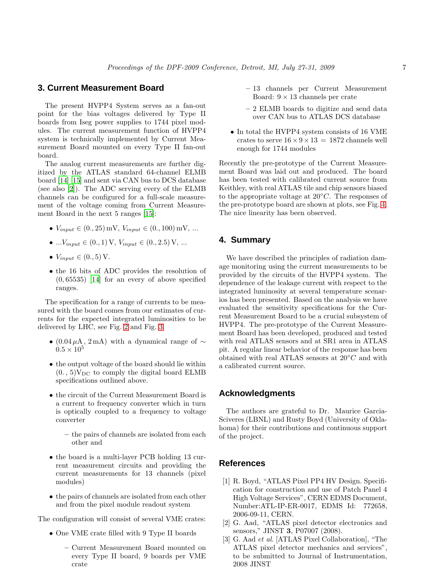### **3. Current Measurement Board**

The present HVPP4 System serves as a fan-out point for the bias voltages delivered by Type II boards from Iseg power supplies to 1744 pixel modules. The current measurement function of HVPP4 system is technically implemented by Current Measurement Board mounted on every Type II fan-out board.

The analog current measurements are further digitized by the ATLAS standard 64-channel ELMB board [\[14\]](#page-7-10) [\[15\]](#page-7-11) and sent via CAN bus to DCS database (see also [\[2\]](#page-6-1)). The ADC serving every of the ELMB channels can be configured for a full-scale measurement of the voltage coming from Current Measurement Board in the next 5 ranges [\[15](#page-7-11)]:

- $V_{input} \in (0., 25)$  mV,  $V_{input} \in (0., 100)$  mV, ...
- ... $V_{input} \in (0., 1)$  V,  $V_{input} \in (0., 2.5)$  V, ...
- $V_{input} \in (0., 5)$  V.
- the 16 bits of ADC provides the resolution of  $(0, 65535)$  [\[14\]](#page-7-10) for an every of above specified ranges.

The specification for a range of currents to be measured with the board comes from our estimates of currents for the expected integrated luminosities to be delivered by LHC, see Fig. [2](#page-4-0) and Fig. [3.](#page-4-1)

- (0.04  $\mu$ A, 2 mA) with a dynamical range of  $\sim$  $0.5 \times 10^{5}$
- the output voltage of the board should lie within  $(0. , 5)$ V<sub>DC</sub> to comply the digital board ELMB specifications outlined above.
- the circuit of the Current Measurement Board is a current to frequency converter which in turn is optically coupled to a frequency to voltage converter
	- the pairs of channels are isolated from each other and
- the board is a multi-layer PCB holding 13 current measurement circuits and providing the current measurements for 13 channels (pixel modules)
- the pairs of channels are isolated from each other and from the pixel module readout system

The configuration will consist of several VME crates:

- One VME crate filled with 9 Type II boards
	- Current Measurement Board mounted on every Type II board, 9 boards per VME crate
- 13 channels per Current Measurement Board:  $9 \times 13$  channels per crate
- 2 ELMB boards to digitize and send data over CAN bus to ATLAS DCS database
- In total the HVPP4 system consists of 16 VME crates to serve  $16 \times 9 \times 13 = 1872$  channels well enough for 1744 modules

Recently the pre-prototype of the Current Measurement Board was laid out and produced. The board has been tested with calibrated current source from Keithley, with real ATLAS tile and chip sensors biased to the appropriate voltage at  $20^{\circ}C$ . The responses of the pre-prototype board are shown at plots, see Fig. [4.](#page-7-12) The nice linearity has been observed.

### **4. Summary**

We have described the principles of radiation damage monitoring using the current measurements to be provided by the circuits of the HVPP4 system. The dependence of the leakage current with respect to the integrated luminosity at several temperature scenarios has been presented. Based on the analysis we have evaluated the sensitivity specifications for the Current Measurement Board to be a crucial subsystem of HVPP4. The pre-prototype of the Current Measurement Board has been developed, produced and tested with real ATLAS sensors and at SR1 area in ATLAS pit. A regular linear behavior of the response has been obtained with real ATLAS sensors at  $20 °C$  and with a calibrated current source.

#### **Acknowledgments**

The authors are grateful to Dr. Maurice Garcia-Sciveres (LBNL) and Rusty Boyd (University of Oklahoma) for their contributions and continuous support of the project.

#### **References**

- <span id="page-6-0"></span>[1] R. Boyd, "ATLAS Pixel PP4 HV Design. Specification for construction and use of Patch Panel 4 High Voltage Services", CERN EDMS Document, Number:ATL-IP-ER-0017, EDMS Id: 772658, 2006-09-11, CERN.
- <span id="page-6-1"></span>[2] G. Aad, "ATLAS pixel detector electronics and sensors," JINST 3, P07007 (2008).
- <span id="page-6-2"></span>[3] G. Aad et al. [ATLAS Pixel Collaboration], "The ATLAS pixel detector mechanics and services", to be submitted to Journal of Instrumentation, 2008 JINST